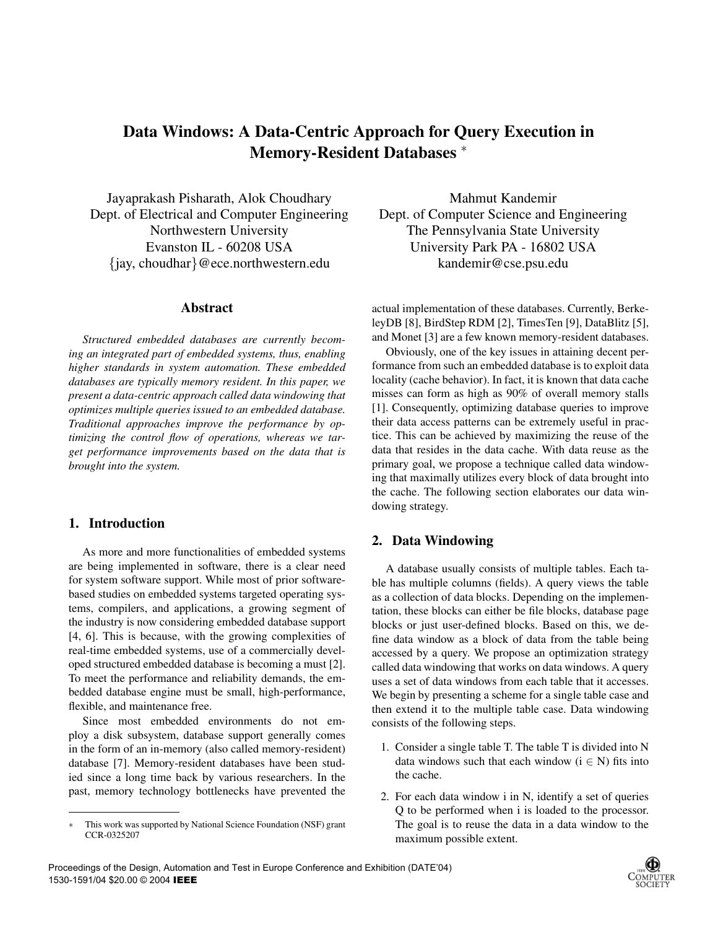# **Data Windows: A Data-Centric Approach for Query Execution in Memory-Resident Databases** ∗

Jayaprakash Pisharath, Alok Choudhary Dept. of Electrical and Computer Engineering Northwestern University Evanston IL - 60208 USA {jay, choudhar}@ece.northwestern.edu

#### **Abstract**

*Structured embedded databases are currently becoming an integrated part of embedded systems, thus, enabling higher standards in system automation. These embedded databases are typically memory resident. In this paper, we present a data-centric approach called data windowing that optimizes multiple queries issued to an embedded database. Traditional approaches improve the performance by optimizing the control flow of operations, whereas we target performance improvements based on the data that is brought into the system.*

## **1. Introduction**

As more and more functionalities of embedded systems are being implemented in software, there is a clear need for system software support. While most of prior softwarebased studies on embedded systems targeted operating systems, compilers, and applications, a growing segment of the industry is now considering embedded database support [4, 6]. This is because, with the growing complexities of real-time embedded systems, use of a commercially developed structured embedded database is becoming a must [2]. To meet the performance and reliability demands, the embedded database engine must be small, high-performance, flexible, and maintenance free.

Since most embedded environments do not employ a disk subsystem, database support generally comes in the form of an in-memory (also called memory-resident) database [7]. Memory-resident databases have been studied since a long time back by various researchers. In the past, memory technology bottlenecks have prevented the

Mahmut Kandemir Dept. of Computer Science and Engineering The Pennsylvania State University University Park PA - 16802 USA kandemir@cse.psu.edu

actual implementation of these databases. Currently, BerkeleyDB [8], BirdStep RDM [2], TimesTen [9], DataBlitz [5], and Monet [3] are a few known memory-resident databases.

Obviously, one of the key issues in attaining decent performance from such an embedded database is to exploit data locality (cache behavior). In fact, it is known that data cache misses can form as high as 90% of overall memory stalls [1]. Consequently, optimizing database queries to improve their data access patterns can be extremely useful in practice. This can be achieved by maximizing the reuse of the data that resides in the data cache. With data reuse as the primary goal, we propose a technique called data windowing that maximally utilizes every block of data brought into the cache. The following section elaborates our data windowing strategy.

#### **2. Data Windowing**

A database usually consists of multiple tables. Each table has multiple columns (fields). A query views the table as a collection of data blocks. Depending on the implementation, these blocks can either be file blocks, database page blocks or just user-defined blocks. Based on this, we define data window as a block of data from the table being accessed by a query. We propose an optimization strategy called data windowing that works on data windows. A query uses a set of data windows from each table that it accesses. We begin by presenting a scheme for a single table case and then extend it to the multiple table case. Data windowing consists of the following steps.

- 1. Consider a single table T. The table T is divided into N data windows such that each window  $(i \in N)$  fits into the cache.
- 2. For each data window i in N, identify a set of queries Q to be performed when i is loaded to the processor. The goal is to reuse the data in a data window to the maximum possible extent.



<sup>∗</sup> This work was supported by National Science Foundation (NSF) grant CCR-0325207